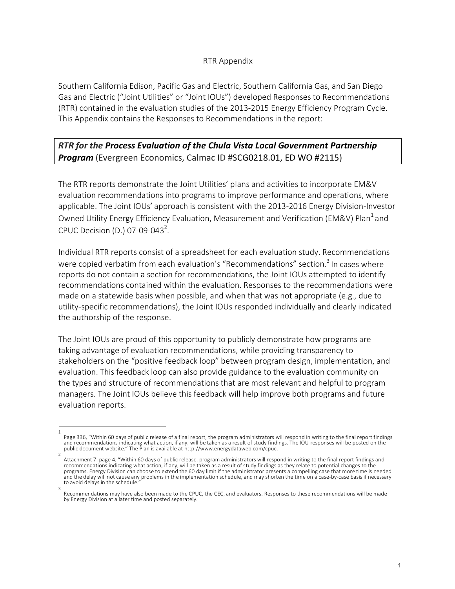## RTR Appendix

Southern California Edison, Pacific Gas and Electric, Southern California Gas, and San Diego Gas and Electric ("Joint Utilities" or "Joint IOUs") developed Responses to Recommendations (RTR) contained in the evaluation studies of the 2013-2015 Energy Efficiency Program Cycle. This Appendix contains the Responses to Recommendations in the report:

## *RTR for the Process Evaluation of the Chula Vista Local Government Partnership Program* (Evergreen Economics, Calmac ID #SCG0218.01, ED WO #2115)

The RTR reports demonstrate the Joint Utilities' plans and activities to incorporate EM&V evaluation recommendations into programs to improve performance and operations, where applicable. The Joint IOUs' approach is consistent with the 2013-2016 Energy Division-Investor Owned Utility Energy Efficiency Evaluation, Measurement and Verification (EM&V) Plan<sup>1</sup> and CPUC Decision (D.) 07-09-043<sup>2</sup>.

Individual RTR reports consist of a spreadsheet for each evaluation study. Recommendations were copied verbatim from each evaluation's "Recommendations" section.<sup>3</sup> In cases where reports do not contain a section for recommendations, the Joint IOUs attempted to identify recommendations contained within the evaluation. Responses to the recommendations were made on a statewide basis when possible, and when that was not appropriate (e.g., due to utility-specific recommendations), the Joint IOUs responded individually and clearly indicated the authorship of the response.

The Joint IOUs are proud of this opportunity to publicly demonstrate how programs are taking advantage of evaluation recommendations, while providing transparency to stakeholders on the "positive feedback loop" between program design, implementation, and evaluation. This feedback loop can also provide guidance to the evaluation community on the types and structure of recommendations that are most relevant and helpful to program managers. The Joint IOUs believe this feedback will help improve both programs and future evaluation reports.

<sup>1</sup>  Page 336, "Within 60 days of public release of a final report, the program administrators will respond in writing to the final report findings<br>and recommendations indicating what action, if any, will be taken as a result o public document website." The Plan is available at http://www.energydataweb.com/cpuc.

Attachment 7, page 4, "Within 60 days of public release, program administrators will respond in writing to the final report findings and recommendations indicating what action, if any, will be taken as a result of study findings as they relate to potential changes to the programs. Energy Division can choose to extend the 60 day limit if the administrator presents a compelling case that more time is needed and the delay will not cause any problems in the implementation schedule, and may shorten the time on a case-by-case basis if necessary to avoid delays in the schedule. 3

Recommendations may have also been made to the CPUC, the CEC, and evaluators. Responses to these recommendations will be made by Energy Division at a later time and posted separately.